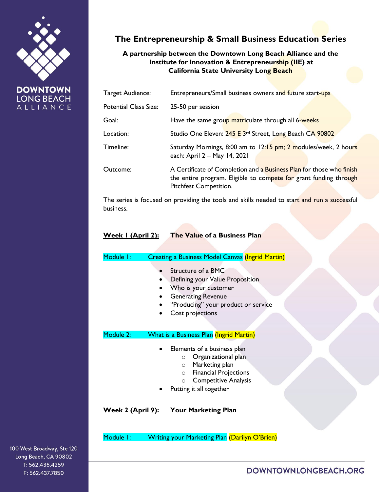

**DOWNTOWN LONG BEACH** ALLIANCE

# **The Entrepreneurship & Small Business Education Series**

## **A partnership between the Downtown Long Beach Alliance and the Institute for Innovation & Entrepreneurship (IIE) at California State University Long Beach**

| Target Audience:             | Entrepreneurs/Small business owners and future start-ups                                                                                                            |
|------------------------------|---------------------------------------------------------------------------------------------------------------------------------------------------------------------|
| <b>Potential Class Size:</b> | 25-50 per session                                                                                                                                                   |
| Goal:                        | Have the same group matriculate through all 6-weeks                                                                                                                 |
| Location:                    | Studio One Eleven: 245 E 3rd Street, Long Beach CA 90802                                                                                                            |
| Timeline:                    | Saturday Mornings, 8:00 am to 12:15 pm; 2 modules/week, 2 hours<br>each: April 2 - May 14, 2021                                                                     |
| Outcome:                     | A Certificate of Completion and a Business Plan for those who finish<br>the entire program. Eligible to compete for grant funding through<br>Pitchfest Competition. |

The series is focused on providing the tools and skills needed to start and run a successful business.

#### **Week 1 (April 2): The Value of a Business Plan**

| Module I:                 | <b>Creating a Business Model Canvas (Ingrid Martin)</b>                                                                                                                                                    |
|---------------------------|------------------------------------------------------------------------------------------------------------------------------------------------------------------------------------------------------------|
|                           | Structure of a BMC<br>Defining your Value Proposition<br>Who is your customer<br><b>Generating Revenue</b><br>"Producing" your product or service<br>Cost projections                                      |
| Module 2:                 | <b>What is a Business Plan (Ingrid Martin)</b>                                                                                                                                                             |
|                           | Elements of a business plan<br>Organizational plan<br>$\circ$<br>Marketing plan<br>$\circ$<br><b>Financial Projections</b><br>$\circ$<br><b>Competitive Analysis</b><br>$\circ$<br>Putting it all together |
| <u> Week 2 (April 9):</u> | <b>Your Marketing Plan</b>                                                                                                                                                                                 |
| Module I:                 | <b>Writing your Marketing Plan (Darilyn O'Brien)</b>                                                                                                                                                       |

DOWNTOWNLONGBEACH.ORG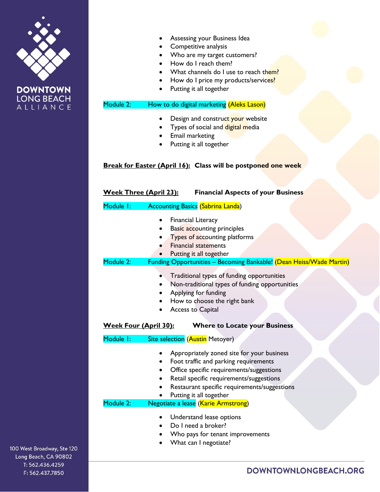



- Assessing your Business Idea
- Competitive analysis
- Who are my target customers?
- How do I reach them?
- What channels do I use to reach them?
- How do I price my products/services?
- Putting it all together

## Module 2: How to do digital marketing (Aleks Lason)

- Design and construct your website
- Types of social and digital media
- Email marketing
- Putting it all together

## **Break for Easter (April 16): Class will be postponed one week**

| <b>Week Three (April 23):</b><br><b>Financial Aspects of your Business</b> |                                                                                                                                                                                                                                                                                                            |  |
|----------------------------------------------------------------------------|------------------------------------------------------------------------------------------------------------------------------------------------------------------------------------------------------------------------------------------------------------------------------------------------------------|--|
| Module I:                                                                  | <b>Accounting Basics (Sabrina Landa)</b>                                                                                                                                                                                                                                                                   |  |
| Module 2:                                                                  | <b>Financial Literacy</b><br><b>Basic accounting principles</b><br>Types of accounting platforms<br><b>Financial statements</b><br>Putting it all together<br>Funding Opportunities - Becoming Bankable! (Dean Heiss/Wade Martin)                                                                          |  |
|                                                                            | Traditional types of funding opportunities<br>Non-traditional types of funding opportunities<br>Applying for funding<br>How to choose the right bank<br><b>Access to Capital</b>                                                                                                                           |  |
| <b>Week Four (April 30):</b><br>Module I:                                  | <b>Where to Locate your Business</b><br>Site selection (Austin Metoyer)                                                                                                                                                                                                                                    |  |
| Module 2:                                                                  | Appropriately zoned site for your business<br>Foot traffic and parking requirements<br>Office specific requirements/suggestions<br>$\bullet$<br>Retail specific requirements/suggestions<br>Restaurant specific requirements/suggestions<br>Putting it all together<br>Negotiate a lease (Karie Armstrong) |  |
|                                                                            | Understand lease options<br>Do I need a broker?<br>Who pays for tenant improvements<br>What can I negotiate?                                                                                                                                                                                               |  |

100 West Broadway, Ste 120 Long Beach, CA 90802 T: 562.436.4259 F: 562.437.7850

## DOWNTOWNLONGBEACH.ORG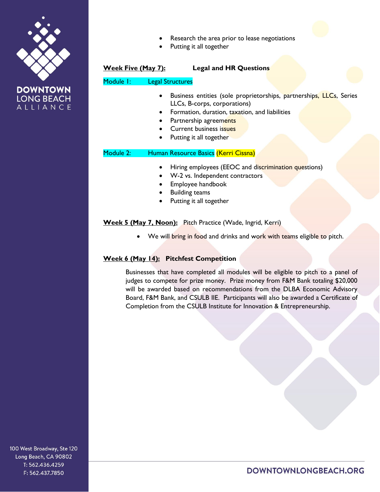

**LONG BEACH** ALLIANCE

|                           | Research the area prior to lease negotiations<br>Putting it all together                                                                                                                                                                     |
|---------------------------|----------------------------------------------------------------------------------------------------------------------------------------------------------------------------------------------------------------------------------------------|
| <u>Week Five (May 7):</u> | <b>Legal and HR Questions</b>                                                                                                                                                                                                                |
| Module I:                 | <b>Legal Structures</b>                                                                                                                                                                                                                      |
|                           | Business entities (sole proprietorships, partnerships, LLCs, Series<br>LLCs, B-corps, corporations)<br>Formation, duration, taxation, and liabilities<br>Partnership agreements<br><b>Current business issues</b><br>Putting it all together |
| Module 2:                 | Human Resource Basics (Kerri Cissna)                                                                                                                                                                                                         |
|                           | Hiring employees (EEOC and discrimination questions)<br>W-2 vs. Independent contractors<br>Employee handbook<br><b>Building teams</b><br>Putting it all together                                                                             |

**Week 5 (May 7, Noon):** Pitch Practice (Wade, Ingrid, Kerri)

• We will bring in food and drinks and work with teams eligible to pitch.

## **Week 6 (May 14): Pitchfest Competition**

Businesses that have completed all modules will be eligible to pitch to a panel of judges to compete for prize money. Prize money from F&M Bank totaling \$20,000 will be awarded based on recommendations from the DLBA Economic Advisory Board, F&M Bank, and CSULB IIE. Participants will also be awarded a Certificate of Completion from the CSULB Institute for Innovation & Entrepreneurship.

100 West Broadway, Ste 120 Long Beach, CA 90802 T: 562.436.4259 F: 562.437.7850